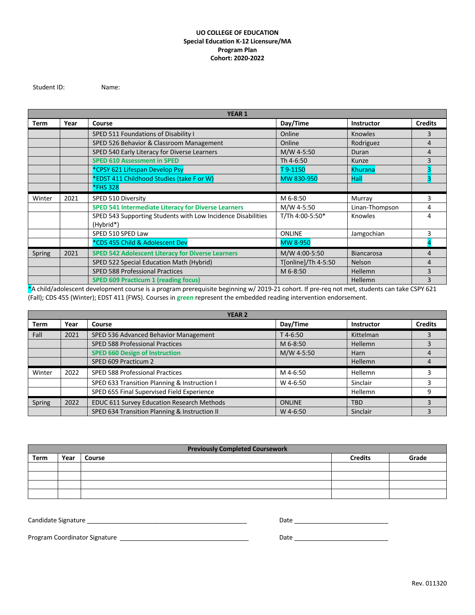## **UO COLLEGE OF EDUCATION Special Education K-12 Licensure/MA Program Plan Cohort: 2020-2022**

Student ID: Name:

| <b>YEAR 1</b> |      |                                                              |                     |                   |                |  |
|---------------|------|--------------------------------------------------------------|---------------------|-------------------|----------------|--|
| Term          | Year | Course                                                       | Day/Time            | <b>Instructor</b> | <b>Credits</b> |  |
|               |      | SPED 511 Foundations of Disability I                         | Online              | <b>Knowles</b>    | 3              |  |
|               |      | SPED 526 Behavior & Classroom Management                     | Online              | Rodriguez         | 4              |  |
|               |      | SPED 540 Early Literacy for Diverse Learners                 | M/W 4-5:50          | Duran             | 4              |  |
|               |      | <b>SPED 610 Assessment in SPED</b>                           | Th 4-6:50           | Kunze             | 3              |  |
|               |      | *CPSY 621 Lifespan Develop Psy                               | T9-1150             | <b>Khurana</b>    |                |  |
|               |      | *EDST 411 Childhood Studies (take F or W)                    | MW 830-950          | <b>Hall</b>       |                |  |
|               |      | <b>*FHS 328</b>                                              |                     |                   |                |  |
| Winter        | 2021 | SPED 510 Diversity                                           | M 6-8:50            | Murray            | 3              |  |
|               |      | <b>SPED 541 Intermediate Literacy for Diverse Learners</b>   | M/W 4-5:50          | Linan-Thompson    | 4              |  |
|               |      | SPED 543 Supporting Students with Low Incidence Disabilities | T/Th 4:00-5:50*     | Knowles           | 4              |  |
|               |      | (Hybrid*)                                                    |                     |                   |                |  |
|               |      | SPED 510 SPED Law                                            | <b>ONLINE</b>       | Jamgochian        | 3              |  |
|               |      | *CDS 455 Child & Adolescent Dev                              | <b>MW 8-950</b>     |                   |                |  |
| Spring        | 2021 | <b>SPED 542 Adolescent Literacy for Diverse Learners</b>     | M/W 4:00-5:50       | <b>Biancarosa</b> | $\Delta$       |  |
|               |      | SPED 522 Special Education Math (Hybrid)                     | T[online]/Th 4-5:50 | <b>Nelson</b>     | 4              |  |
|               |      | <b>SPED 588 Professional Practices</b>                       | M 6-8:50            | Hellemn           | 3              |  |
|               |      | <b>SPED 609 Practicum 1 (reading focus)</b>                  |                     | Hellemn           | 3              |  |

\*A child/adolescent development course is a program prerequisite beginning w/ 2019-21 cohort. If pre-req not met, students can take CSPY 621 (Fall); CDS 455 (Winter); EDST 411 (FWS). Courses in **green** represent the embedded reading intervention endorsement.

| <b>YEAR 2</b> |      |                                               |               |                 |                |  |
|---------------|------|-----------------------------------------------|---------------|-----------------|----------------|--|
| <b>Term</b>   | Year | Course                                        | Day/Time      | Instructor      | <b>Credits</b> |  |
| Fall          | 2021 | SPED 536 Advanced Behavior Management         | $T$ 4-6:50    | Kittelman       |                |  |
|               |      | <b>SPED 588 Professional Practices</b>        | M 6-8:50      | <b>Hellemn</b>  |                |  |
|               |      | <b>SPED 660 Design of Instruction</b>         | M/W 4-5:50    | Harn            |                |  |
|               |      | SPED 609 Practicum 2                          |               | Hellemn         | 4              |  |
| Winter        | 2022 | SPED 588 Professional Practices               | M 4-6:50      | Hellemn         |                |  |
|               |      | SPED 633 Transition Planning & Instruction I  | W 4-6:50      | <b>Sinclair</b> |                |  |
|               |      | SPED 655 Final Supervised Field Experience    |               | Hellemn         | 9              |  |
| Spring        | 2022 | EDUC 611 Survey Education Research Methods    | <b>ONLINE</b> | TBD.            |                |  |
|               |      | SPED 634 Transition Planning & Instruction II | W 4-6:50      | Sinclair        |                |  |

| <b>Previously Completed Coursework</b> |      |        |                |       |  |  |
|----------------------------------------|------|--------|----------------|-------|--|--|
| <b>Term</b>                            | Year | Course | <b>Credits</b> | Grade |  |  |
|                                        |      |        |                |       |  |  |
|                                        |      |        |                |       |  |  |
|                                        |      |        |                |       |  |  |
|                                        |      |        |                |       |  |  |

Candidate Signature \_\_\_\_\_\_\_\_\_\_\_\_\_\_\_\_\_\_\_\_\_\_\_\_\_\_\_\_\_\_\_\_\_\_\_\_\_\_\_\_\_\_\_\_\_\_ Date \_\_\_\_\_\_\_\_\_\_\_\_\_\_\_\_\_\_\_\_\_\_\_\_\_\_\_

Program Coordinator Signature \_\_\_\_\_\_\_\_\_\_\_\_\_\_\_\_\_\_\_\_\_\_\_\_\_\_\_\_\_\_\_\_\_\_\_\_\_ Date \_\_\_\_\_\_\_\_\_\_\_\_\_\_\_\_\_\_\_\_\_\_\_\_\_\_\_